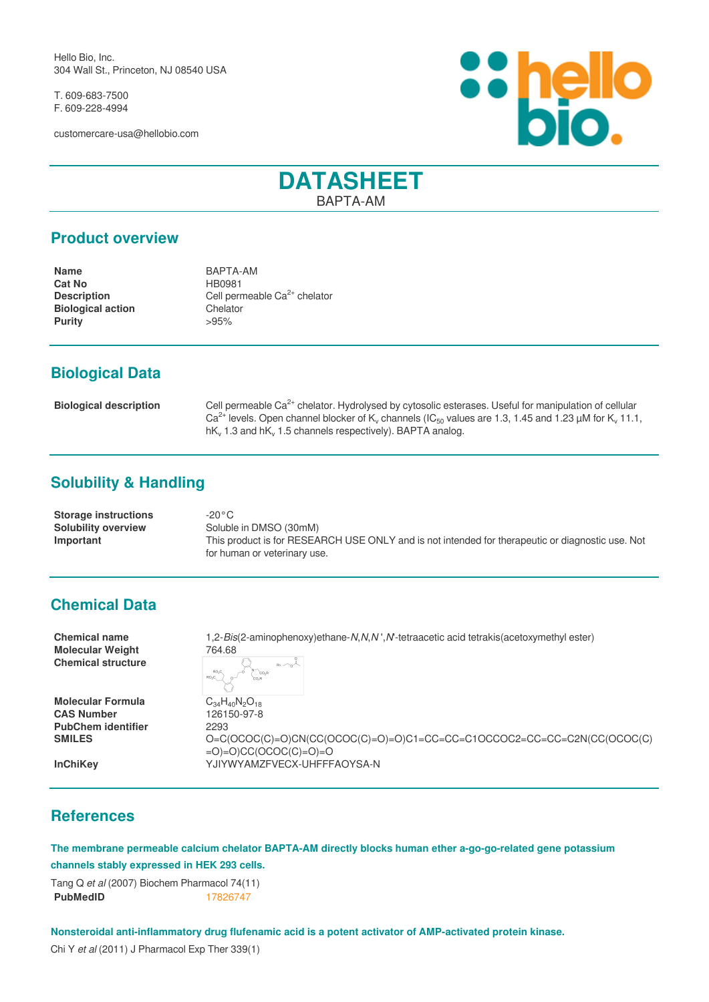Hello Bio, Inc. 304 Wall St., Princeton, NJ 08540 USA

T. 609-683-7500 F. 609-228-4994

customercare-usa@hellobio.com



# **DATASHEET** BAPTA-AM

#### **Product overview**

**Name** BAPTA-AM **Cat No** HB0981 **Description** Cell permeable Ca<sup>2+</sup> chelator<br> **Biological action** Chelator **Biological action**<br> **Purity**  $>95\%$ **Purity** 

## **Biological Data**

| <b>Biological description</b> | Cell permeable Ca <sup>2+</sup> chelator. Hydrolysed by cytosolic esterases. Useful for manipulation of cellular                                     |
|-------------------------------|------------------------------------------------------------------------------------------------------------------------------------------------------|
|                               | Ca <sup>2+</sup> levels. Open channel blocker of K <sub>y</sub> channels (IC <sub>50</sub> values are 1.3, 1.45 and 1.23 µM for K <sub>y</sub> 11.1, |
|                               | $hKv$ 1.3 and $hKv$ 1.5 channels respectively). BAPTA analog.                                                                                        |

## **Solubility & Handling**

| <b>Storage instructions</b> | -20°C                                                                                            |
|-----------------------------|--------------------------------------------------------------------------------------------------|
| <b>Solubility overview</b>  | Soluble in DMSO (30mM)                                                                           |
| Important                   | This product is for RESEARCH USE ONLY and is not intended for therapeutic or diagnostic use. Not |
|                             | for human or veterinary use.                                                                     |

### **Chemical Data**

**Molecular Weight** 764.68 **Chemical structure**

**Molecular Formula**<br>CAS Number<br>126150-97-8 **PubChem identifier** 2293

**Chemical name** 1,2-*Bis*(2-aminophenoxy)ethane-*N*,*N*,*N* ',*N*'-tetraacetic acid tetrakis(acetoxymethyl ester)

**CAS Number** 126150-97-8 **SMILES** O=C(OCOC(C)=O)CN(CC(OCOC(C)=O)=O)C1=CC=CC=C1OCCOC2=CC=CC=C2N(CC(OCOC(C)  $=$ O $)=$ O)CC(OCOC(C) $=$ O $)=$ O **InChiKey** YJIYWYAMZFVECX-UHFFFAOYSA-N

### **References**

**The membrane permeable calcium chelator BAPTA-AM directly blocks human ether a-go-go-related gene potassium channels stably expressed in HEK 293 cells.**

Tang Q *et al* (2007) Biochem Pharmacol 74(11) **PubMedID** [17826747](http://www.ncbi.nlm.nih.gov/pubmed/17826747)

**Nonsteroidal anti-inflammatory drug flufenamic acid is a potent activator of AMP-activated protein kinase.**